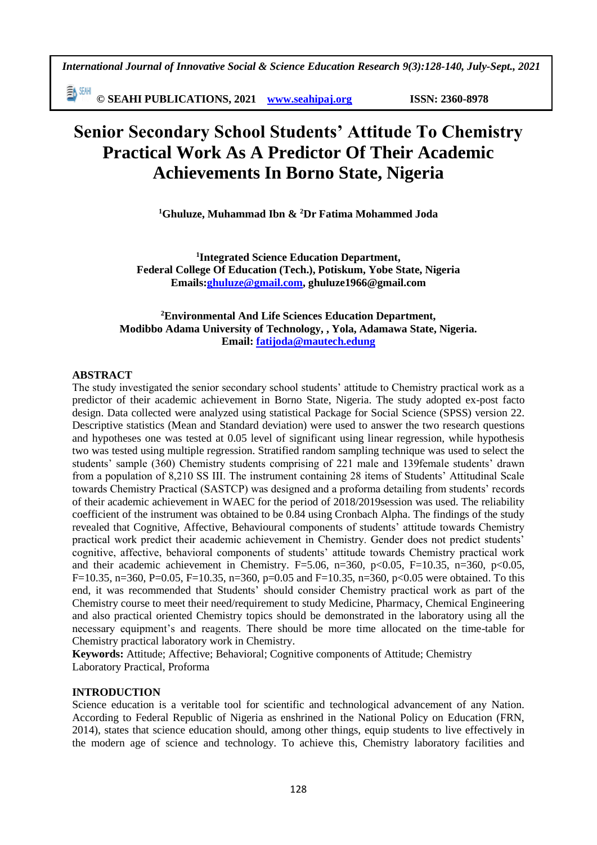*International Journal of Innovative Social & Science Education Research 9(3):128-140, July-Sept., 2021*

**≣A** SEMH **© SEAHI PUBLICATIONS, 2021 [www.seahipaj.org](http://www.seahipaj.org/) ISSN: 2360-8978**

# **Senior Secondary School Students' Attitude To Chemistry Practical Work As A Predictor Of Their Academic Achievements In Borno State, Nigeria**

**<sup>1</sup>Ghuluze, Muhammad Ibn & <sup>2</sup>Dr Fatima Mohammed Joda** 

**1 Integrated Science Education Department, Federal College Of Education (Tech.), Potiskum, Yobe State, Nigeria Emails[:ghuluze@gmail.com,](mailto:ghuluze@gmail.com) ghuluze1966@gmail.com**

# **<sup>2</sup>Environmental And Life Sciences Education Department, Modibbo Adama University of Technology, , Yola, Adamawa State, Nigeria. Email: [fatijoda@mautech.edung](mailto:fatijoda@mautech.edung)**

### **ABSTRACT**

The study investigated the senior secondary school students' attitude to Chemistry practical work as a predictor of their academic achievement in Borno State, Nigeria. The study adopted ex-post facto design. Data collected were analyzed using statistical Package for Social Science (SPSS) version 22. Descriptive statistics (Mean and Standard deviation) were used to answer the two research questions and hypotheses one was tested at 0.05 level of significant using linear regression, while hypothesis two was tested using multiple regression. Stratified random sampling technique was used to select the students' sample (360) Chemistry students comprising of 221 male and 139female students' drawn from a population of 8,210 SS III. The instrument containing 28 items of Students' Attitudinal Scale towards Chemistry Practical (SASTCP) was designed and a proforma detailing from students' records of their academic achievement in WAEC for the period of 2018/2019session was used. The reliability coefficient of the instrument was obtained to be 0.84 using Cronbach Alpha. The findings of the study revealed that Cognitive, Affective, Behavioural components of students' attitude towards Chemistry practical work predict their academic achievement in Chemistry. Gender does not predict students' cognitive, affective, behavioral components of students' attitude towards Chemistry practical work and their academic achievement in Chemistry. F=5.06, n=360, p<0.05, F=10.35, n=360, p<0.05, F=10.35, n=360, P=0.05, F=10.35, n=360, p=0.05 and F=10.35, n=360, p<0.05 were obtained. To this end, it was recommended that Students' should consider Chemistry practical work as part of the Chemistry course to meet their need/requirement to study Medicine, Pharmacy, Chemical Engineering and also practical oriented Chemistry topics should be demonstrated in the laboratory using all the necessary equipment's and reagents. There should be more time allocated on the time-table for Chemistry practical laboratory work in Chemistry.

**Keywords:** Attitude; Affective; Behavioral; Cognitive components of Attitude; Chemistry Laboratory Practical, Proforma

### **INTRODUCTION**

Science education is a veritable tool for scientific and technological advancement of any Nation. According to Federal Republic of Nigeria as enshrined in the National Policy on Education (FRN, 2014), states that science education should, among other things, equip students to live effectively in the modern age of science and technology. To achieve this, Chemistry laboratory facilities and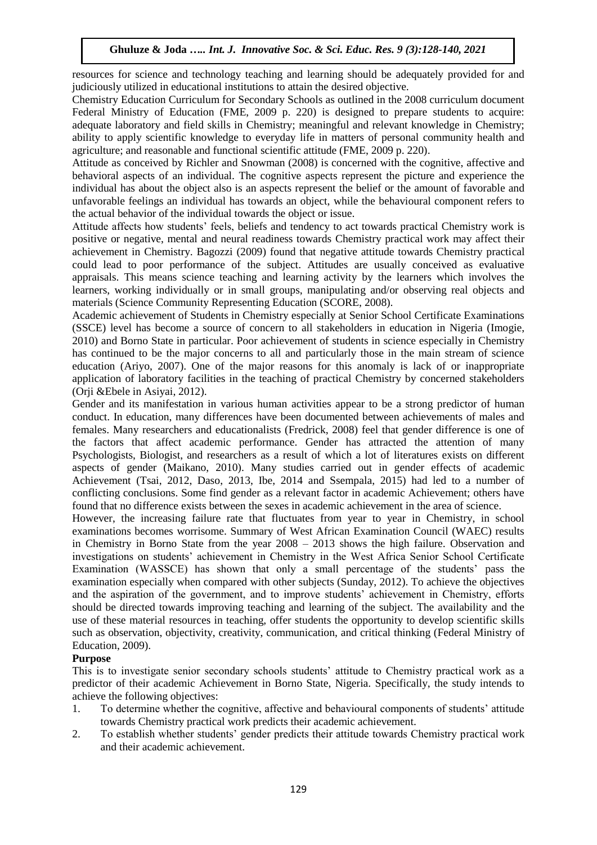resources for science and technology teaching and learning should be adequately provided for and judiciously utilized in educational institutions to attain the desired objective.

Chemistry Education Curriculum for Secondary Schools as outlined in the 2008 curriculum document Federal Ministry of Education (FME, 2009 p. 220) is designed to prepare students to acquire: adequate laboratory and field skills in Chemistry; meaningful and relevant knowledge in Chemistry; ability to apply scientific knowledge to everyday life in matters of personal community health and agriculture; and reasonable and functional scientific attitude (FME, 2009 p. 220).

Attitude as conceived by Richler and Snowman (2008) is concerned with the cognitive, affective and behavioral aspects of an individual. The cognitive aspects represent the picture and experience the individual has about the object also is an aspects represent the belief or the amount of favorable and unfavorable feelings an individual has towards an object, while the behavioural component refers to the actual behavior of the individual towards the object or issue.

Attitude affects how students' feels, beliefs and tendency to act towards practical Chemistry work is positive or negative, mental and neural readiness towards Chemistry practical work may affect their achievement in Chemistry. Bagozzi (2009) found that negative attitude towards Chemistry practical could lead to poor performance of the subject. Attitudes are usually conceived as evaluative appraisals. This means science teaching and learning activity by the learners which involves the learners, working individually or in small groups, manipulating and/or observing real objects and materials (Science Community Representing Education (SCORE, 2008).

Academic achievement of Students in Chemistry especially at Senior School Certificate Examinations (SSCE) level has become a source of concern to all stakeholders in education in Nigeria (Imogie, 2010) and Borno State in particular. Poor achievement of students in science especially in Chemistry has continued to be the major concerns to all and particularly those in the main stream of science education (Ariyo, 2007). One of the major reasons for this anomaly is lack of or inappropriate application of laboratory facilities in the teaching of practical Chemistry by concerned stakeholders (Orji &Ebele in Asiyai, 2012).

Gender and its manifestation in various human activities appear to be a strong predictor of human conduct. In education, many differences have been documented between achievements of males and females. Many researchers and educationalists (Fredrick, 2008) feel that gender difference is one of the factors that affect academic performance. Gender has attracted the attention of many Psychologists, Biologist, and researchers as a result of which a lot of literatures exists on different aspects of gender (Maikano, 2010). Many studies carried out in gender effects of academic Achievement (Tsai, 2012, Daso, 2013, Ibe, 2014 and Ssempala, 2015) had led to a number of conflicting conclusions. Some find gender as a relevant factor in academic Achievement; others have found that no difference exists between the sexes in academic achievement in the area of science.

However, the increasing failure rate that fluctuates from year to year in Chemistry, in school examinations becomes worrisome. Summary of West African Examination Council (WAEC) results in Chemistry in Borno State from the year 2008 – 2013 shows the high failure. Observation and investigations on students' achievement in Chemistry in the West Africa Senior School Certificate Examination (WASSCE) has shown that only a small percentage of the students' pass the examination especially when compared with other subjects (Sunday, 2012). To achieve the objectives and the aspiration of the government, and to improve students' achievement in Chemistry, efforts should be directed towards improving teaching and learning of the subject. The availability and the use of these material resources in teaching, offer students the opportunity to develop scientific skills such as observation, objectivity, creativity, communication, and critical thinking (Federal Ministry of Education, 2009).

### **Purpose**

This is to investigate senior secondary schools students' attitude to Chemistry practical work as a predictor of their academic Achievement in Borno State, Nigeria. Specifically, the study intends to achieve the following objectives:

- 1. To determine whether the cognitive, affective and behavioural components of students' attitude towards Chemistry practical work predicts their academic achievement.
- 2. To establish whether students' gender predicts their attitude towards Chemistry practical work and their academic achievement.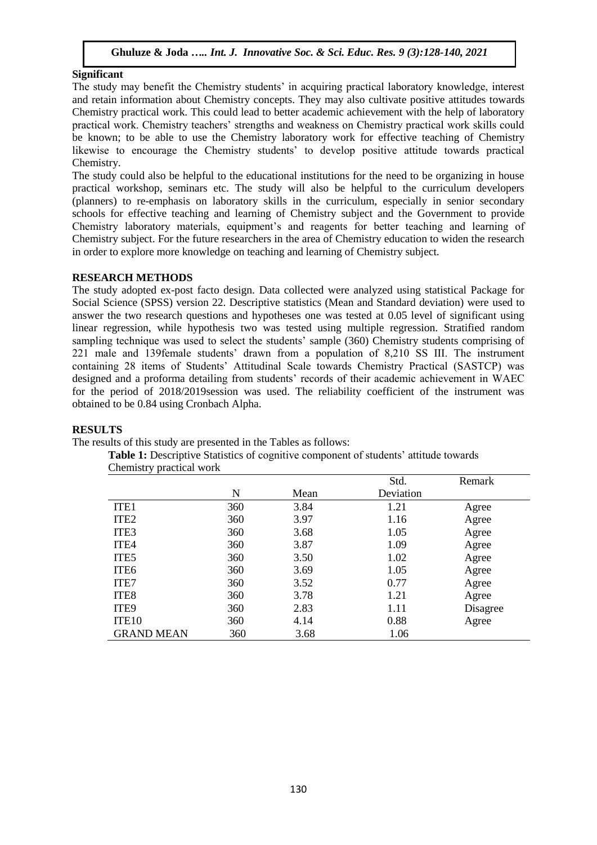### **Significant**

The study may benefit the Chemistry students' in acquiring practical laboratory knowledge, interest and retain information about Chemistry concepts. They may also cultivate positive attitudes towards Chemistry practical work. This could lead to better academic achievement with the help of laboratory practical work. Chemistry teachers' strengths and weakness on Chemistry practical work skills could be known; to be able to use the Chemistry laboratory work for effective teaching of Chemistry likewise to encourage the Chemistry students' to develop positive attitude towards practical Chemistry.

The study could also be helpful to the educational institutions for the need to be organizing in house practical workshop, seminars etc. The study will also be helpful to the curriculum developers (planners) to re-emphasis on laboratory skills in the curriculum, especially in senior secondary schools for effective teaching and learning of Chemistry subject and the Government to provide Chemistry laboratory materials, equipment's and reagents for better teaching and learning of Chemistry subject. For the future researchers in the area of Chemistry education to widen the research in order to explore more knowledge on teaching and learning of Chemistry subject.

### **RESEARCH METHODS**

The study adopted ex-post facto design. Data collected were analyzed using statistical Package for Social Science (SPSS) version 22. Descriptive statistics (Mean and Standard deviation) were used to answer the two research questions and hypotheses one was tested at 0.05 level of significant using linear regression, while hypothesis two was tested using multiple regression. Stratified random sampling technique was used to select the students' sample (360) Chemistry students comprising of 221 male and 139female students' drawn from a population of 8,210 SS III. The instrument containing 28 items of Students' Attitudinal Scale towards Chemistry Practical (SASTCP) was designed and a proforma detailing from students' records of their academic achievement in WAEC for the period of 2018/2019session was used. The reliability coefficient of the instrument was obtained to be 0.84 using Cronbach Alpha.

### **RESULTS**

The results of this study are presented in the Tables as follows:

**Table 1:** Descriptive Statistics of cognitive component of students' attitude towards Chemistry practical work

|                   |     |      | Std.      | Remark   |
|-------------------|-----|------|-----------|----------|
|                   | N   | Mean | Deviation |          |
| ITE <sub>1</sub>  | 360 | 3.84 | 1.21      | Agree    |
| ITE <sub>2</sub>  | 360 | 3.97 | 1.16      | Agree    |
| ITE <sub>3</sub>  | 360 | 3.68 | 1.05      | Agree    |
| ITE4              | 360 | 3.87 | 1.09      | Agree    |
| ITE <sub>5</sub>  | 360 | 3.50 | 1.02      | Agree    |
| ITE <sub>6</sub>  | 360 | 3.69 | 1.05      | Agree    |
| ITE7              | 360 | 3.52 | 0.77      | Agree    |
| ITE8              | 360 | 3.78 | 1.21      | Agree    |
| ITE9              | 360 | 2.83 | 1.11      | Disagree |
| ITE <sub>10</sub> | 360 | 4.14 | 0.88      | Agree    |
| <b>GRAND MEAN</b> | 360 | 3.68 | 1.06      |          |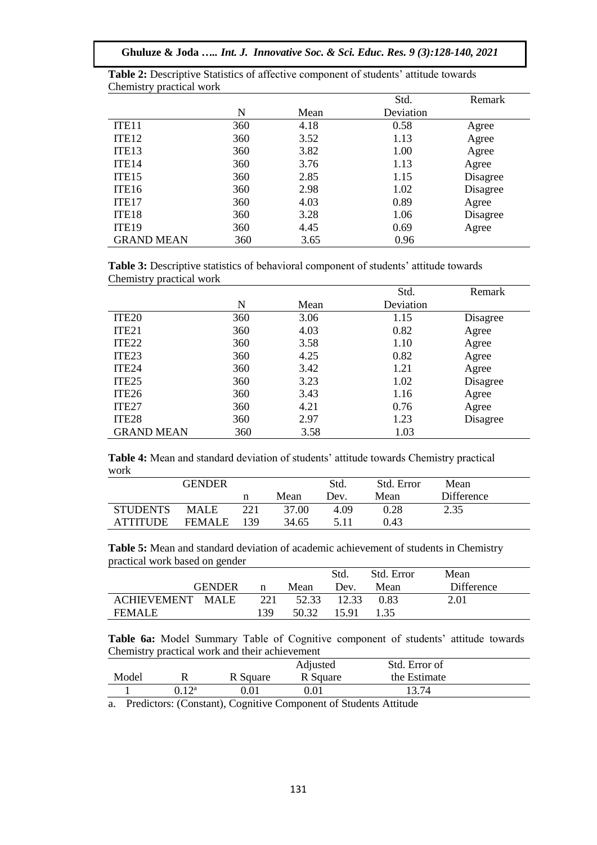**Ghuluze & Joda** *….. Int. J. Innovative Soc. & Sci. Educ. Res. 9 (3):128-140, 2021*

|                   |     |      | Std.      | Remark   |
|-------------------|-----|------|-----------|----------|
|                   | N   | Mean | Deviation |          |
| ITE <sub>11</sub> | 360 | 4.18 | 0.58      | Agree    |
| ITE <sub>12</sub> | 360 | 3.52 | 1.13      | Agree    |
| ITE <sub>13</sub> | 360 | 3.82 | 1.00      | Agree    |
| ITE <sub>14</sub> | 360 | 3.76 | 1.13      | Agree    |
| ITE <sub>15</sub> | 360 | 2.85 | 1.15      | Disagree |
| ITE <sub>16</sub> | 360 | 2.98 | 1.02      | Disagree |
| ITE17             | 360 | 4.03 | 0.89      | Agree    |
| ITE <sub>18</sub> | 360 | 3.28 | 1.06      | Disagree |
| ITE <sub>19</sub> | 360 | 4.45 | 0.69      | Agree    |
| <b>GRAND MEAN</b> | 360 | 3.65 | 0.96      |          |

**Table 2:** Descriptive Statistics of affective component of students' attitude towards Chemistry practical work

**Table 3:** Descriptive statistics of behavioral component of students' attitude towards Chemistry practical work

|                   |     |      | Std.      | Remark   |
|-------------------|-----|------|-----------|----------|
|                   | N   | Mean | Deviation |          |
| ITE <sub>20</sub> | 360 | 3.06 | 1.15      | Disagree |
| ITE21             | 360 | 4.03 | 0.82      | Agree    |
| ITE <sub>22</sub> | 360 | 3.58 | 1.10      | Agree    |
| ITE <sub>23</sub> | 360 | 4.25 | 0.82      | Agree    |
| ITE <sub>24</sub> | 360 | 3.42 | 1.21      | Agree    |
| ITE <sub>25</sub> | 360 | 3.23 | 1.02      | Disagree |
| ITE <sub>26</sub> | 360 | 3.43 | 1.16      | Agree    |
| ITE27             | 360 | 4.21 | 0.76      | Agree    |
| ITE <sub>28</sub> | 360 | 2.97 | 1.23      | Disagree |
| <b>GRAND MEAN</b> | 360 | 3.58 | 1.03      |          |

**Table 4:** Mean and standard deviation of students' attitude towards Chemistry practical work

|                 | <b>GENDER</b> |     |       | Std. | Std. Error | Mean              |  |
|-----------------|---------------|-----|-------|------|------------|-------------------|--|
|                 |               | n   | Mean  | Dev. | Mean       | <b>Difference</b> |  |
| <b>STUDENTS</b> | <b>MALE</b>   | 221 | 37.00 | 4.09 | 0.28       | 2.35              |  |
| <b>ATTITUDE</b> | <b>FEMALE</b> | 139 | 34.65 |      | 0.43       |                   |  |

**Table 5:** Mean and standard deviation of academic achievement of students in Chemistry practical work based on gender

|                  |             |             | Std. | Std. Error | Mean              |
|------------------|-------------|-------------|------|------------|-------------------|
| <b>GENDER</b>    | $\mathbf n$ | Mean        | Dev. | Mean       | <b>Difference</b> |
| ACHIEVEMENT MALE | 221         | 52.33 12.33 |      | 0.83       | 2.01              |
| <b>FEMALE</b>    | 139.        | 50.32 15.91 |      | 135        |                   |

**Table 6a:** Model Summary Table of Cognitive component of students' attitude towards Chemistry practical work and their achievement

|       |       |          | Adjusted                                                                                                                                                                                                                                                                                                                           | Std. Error of |  |
|-------|-------|----------|------------------------------------------------------------------------------------------------------------------------------------------------------------------------------------------------------------------------------------------------------------------------------------------------------------------------------------|---------------|--|
| Model |       | R Square | R Square                                                                                                                                                                                                                                                                                                                           | the Estimate  |  |
|       | ∩ 1つa | 0.01     | 0.01                                                                                                                                                                                                                                                                                                                               | 13.74         |  |
|       |       |          | $\mathbf{D}$ $\mathbf{P}$ $\mathbf{P}$ $\mathbf{P}$ $\mathbf{P}$ $\mathbf{P}$ $\mathbf{P}$ $\mathbf{P}$ $\mathbf{P}$ $\mathbf{P}$ $\mathbf{P}$ $\mathbf{P}$ $\mathbf{P}$ $\mathbf{P}$ $\mathbf{P}$ $\mathbf{P}$ $\mathbf{P}$ $\mathbf{P}$ $\mathbf{P}$ $\mathbf{P}$ $\mathbf{P}$ $\mathbf{P}$ $\mathbf{P}$ $\mathbf{P}$ $\mathbf{$ |               |  |

a. Predictors: (Constant), Cognitive Component of Students Attitude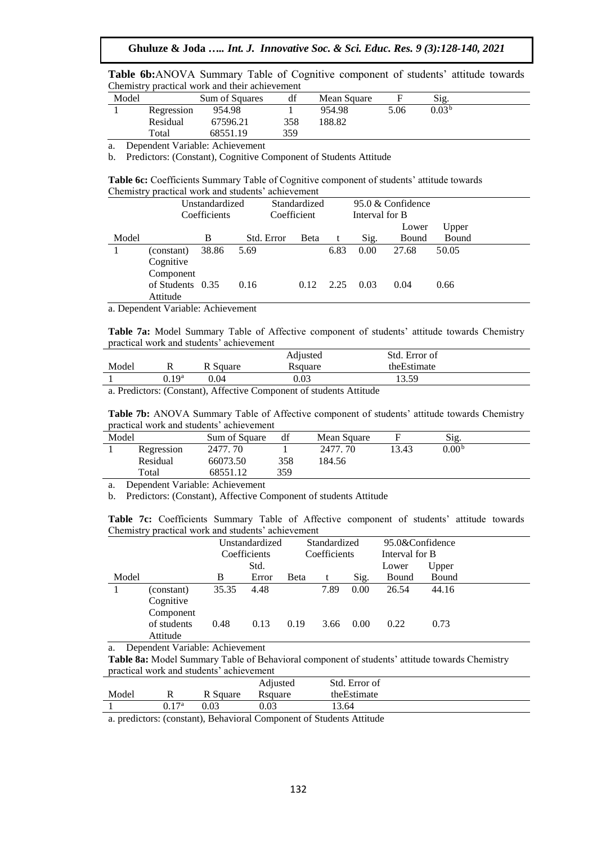**Table 6b:**ANOVA Summary Table of Cognitive component of students' attitude towards Chemistry practical work and their achievement

| Model |            | Sum of Squares | df  | Mean Square |      | Sig.              |  |
|-------|------------|----------------|-----|-------------|------|-------------------|--|
|       | Regression | 954.98         |     | 954.98      | 5.06 | 0.03 <sup>b</sup> |  |
|       | Residual   | 67596.21       | 358 | 188.82      |      |                   |  |
|       | Total      | 68551.19       | 359 |             |      |                   |  |

a. Dependent Variable: Achievement

b. Predictors: (Constant), Cognitive Component of Students Attitude

**Table 6c:** Coefficients Summary Table of Cognitive component of students' attitude towards Chemistry practical work and students' achievement

|       |                  | Unstandardized |            | Standardized |              | 95.0 & Confidence |                |       |       |  |
|-------|------------------|----------------|------------|--------------|--------------|-------------------|----------------|-------|-------|--|
|       |                  | Coefficients   |            | Coefficient  |              |                   | Interval for B |       |       |  |
|       |                  |                |            |              |              |                   |                | Lower | Upper |  |
| Model |                  | B              | Std. Error |              | <b>B</b> eta |                   | Sig.           | Bound | Bound |  |
|       | (constant)       | 38.86          | 5.69       |              |              | 6.83              | 0.00           | 27.68 | 50.05 |  |
|       | Cognitive        |                |            |              |              |                   |                |       |       |  |
|       | Component        |                |            |              |              |                   |                |       |       |  |
|       | of Students 0.35 |                | 0.16       |              | 0.12         | 2.25              | 0.03           | 0.04  | 0.66  |  |
|       | Attitude         |                |            |              |              |                   |                |       |       |  |

a. Dependent Variable: Achievement

**Table 7a:** Model Summary Table of Affective component of students' attitude towards Chemistry practical work and students' achievement

|       |                   |          | Adjusted     | Std. Error of |  |
|-------|-------------------|----------|--------------|---------------|--|
| Model |                   | R Square | Rsquare      | the Estimate  |  |
|       | 0.19 <sup>a</sup> | 0.04     | 0.03         | 13.59         |  |
| ___   |                   |          | ___<br>_____ | .             |  |

a. Predictors: (Constant), Affective Component of students Attitude

**Table 7b:** ANOVA Summary Table of Affective component of students' attitude towards Chemistry practical work and students' achievement

| Model |            | Sum of Square | df  | Mean Square |       | Sig.              |  |
|-------|------------|---------------|-----|-------------|-------|-------------------|--|
|       | Regression | 2477.70       |     | 2477.70     | 13.43 | 0.00 <sup>b</sup> |  |
|       | Residual   | 66073.50      | 358 | 184.56      |       |                   |  |
|       | Total      | 68551.12      | 359 |             |       |                   |  |

a. Dependent Variable: Achievement

b. Predictors: (Constant), Affective Component of students Attitude

**Table 7c:** Coefficients Summary Table of Affective component of students' attitude towards Chemistry practical work and students' achievement

|       |                                      |       | Unstandardized |      | Standardized |      | 95.0&Confidence |       |  |
|-------|--------------------------------------|-------|----------------|------|--------------|------|-----------------|-------|--|
|       |                                      |       | Coefficients   |      | Coefficients |      | Interval for B  |       |  |
|       |                                      |       | Std.           |      |              |      | Lower           | Upper |  |
| Model |                                      | В     | Error          | Beta |              | Sig. | Bound           | Bound |  |
|       | (constant)<br>Cognitive              | 35.35 | 4.48           |      | 7.89         | 0.00 | 26.54           | 44.16 |  |
|       | Component<br>of students<br>Attitude | 0.48  | 0.13           | 0.19 | 3.66         | 0.00 | 0.22            | 0.73  |  |

a. Dependent Variable: Achievement

**Table 8a:** Model Summary Table of Behavioral component of students' attitude towards Chemistry practical work and students' achievement

| Model    |                | R Square                           | Adjusted<br>Rsquare | Std. Error of<br>the Estimate |  |
|----------|----------------|------------------------------------|---------------------|-------------------------------|--|
|          | $0.17^{\rm a}$ | 0.03                               | 0.03                | 3.64                          |  |
| $\cdots$ |                | $\sim$ $\sim$ $\sim$ $\sim$ $\sim$ |                     |                               |  |

a. predictors: (constant), Behavioral Component of Students Attitude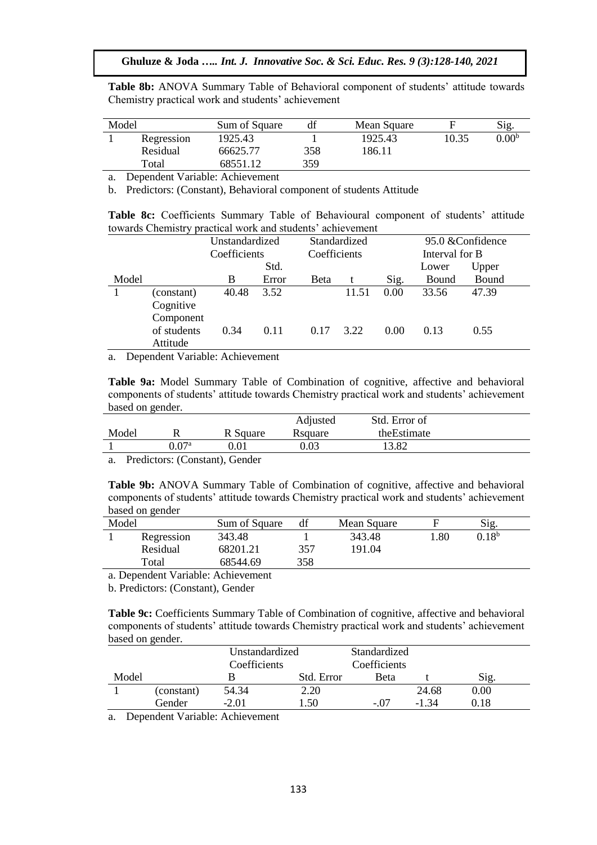**Table 8b:** ANOVA Summary Table of Behavioral component of students' attitude towards Chemistry practical work and students' achievement

| Model |            | Sum of Square |     | Mean Square |       | Sig.              |
|-------|------------|---------------|-----|-------------|-------|-------------------|
|       | Regression | 1925.43       |     | 1925.43     | 10.35 | 0.00 <sup>b</sup> |
|       | Residual   | 66625.77      | 358 | 186.11      |       |                   |
|       | Total      | 68551.12      | 359 |             |       |                   |

a. Dependent Variable: Achievement

b. Predictors: (Constant), Behavioral component of students Attitude

**Table 8c:** Coefficients Summary Table of Behavioural component of students' attitude towards Chemistry practical work and students' achievement

|       |             | Unstandardized |       | Standardized |       |      | 95.0 & Confidence |       |  |
|-------|-------------|----------------|-------|--------------|-------|------|-------------------|-------|--|
|       |             | Coefficients   |       | Coefficients |       |      | Interval for B    |       |  |
|       |             | Std.           |       |              |       |      | Lower             | Upper |  |
| Model |             | B              | Error | <b>Beta</b>  |       | Sig. | Bound             | Bound |  |
|       | (constant)  | 40.48          | 3.52  |              | 11.51 | 0.00 | 33.56             | 47.39 |  |
|       | Cognitive   |                |       |              |       |      |                   |       |  |
|       | Component   |                |       |              |       |      |                   |       |  |
|       | of students | 0.34           | 0.11  | 0.17         | 3.22  | 0.00 | 0.13              | 0.55  |  |
|       | Attitude    |                |       |              |       |      |                   |       |  |

a. Dependent Variable: Achievement

**Table 9a:** Model Summary Table of Combination of cognitive, affective and behavioral components of students' attitude towards Chemistry practical work and students' achievement based on gender.

|                      |                |          | Adjusted   | Std. Error of |  |
|----------------------|----------------|----------|------------|---------------|--|
| Model                |                | R Square | Rsquare    | the Estimate  |  |
|                      | $0.07^{\rm a}$ | 0.01     | $\rm 0.03$ | 13.82         |  |
| $\sim$ $\sim$ $\sim$ |                |          |            |               |  |

a. Predictors: (Constant), Gender

**Table 9b:** ANOVA Summary Table of Combination of cognitive, affective and behavioral components of students' attitude towards Chemistry practical work and students' achievement based on gender

| Model |            | Sum of Square | df  | Mean Square |     | Sig.              |  |
|-------|------------|---------------|-----|-------------|-----|-------------------|--|
|       | Regression | 343.48        |     | 343.48      | .80 | 0.18 <sup>b</sup> |  |
|       | Residual   | 68201.21      | 357 | 191.04      |     |                   |  |
|       | Total      | 68544.69      | 358 |             |     |                   |  |
|       |            |               |     |             |     |                   |  |

a. Dependent Variable: Achievement

b. Predictors: (Constant), Gender

**Table 9c:** Coefficients Summary Table of Combination of cognitive, affective and behavioral components of students' attitude towards Chemistry practical work and students' achievement based on gender.

|       |            | Unstandardized | Standardized |              |       |          |  |
|-------|------------|----------------|--------------|--------------|-------|----------|--|
|       |            | Coefficients   |              | Coefficients |       |          |  |
| Model |            |                | Std. Error   | <b>Beta</b>  |       | Sig.     |  |
|       | (constant) | 54.34          | 2.20         |              | 24.68 | $0.00\,$ |  |
|       | Gender     | $-2.01$        | .50          | - 07         | -1.34 | 0.18     |  |

a. Dependent Variable: Achievement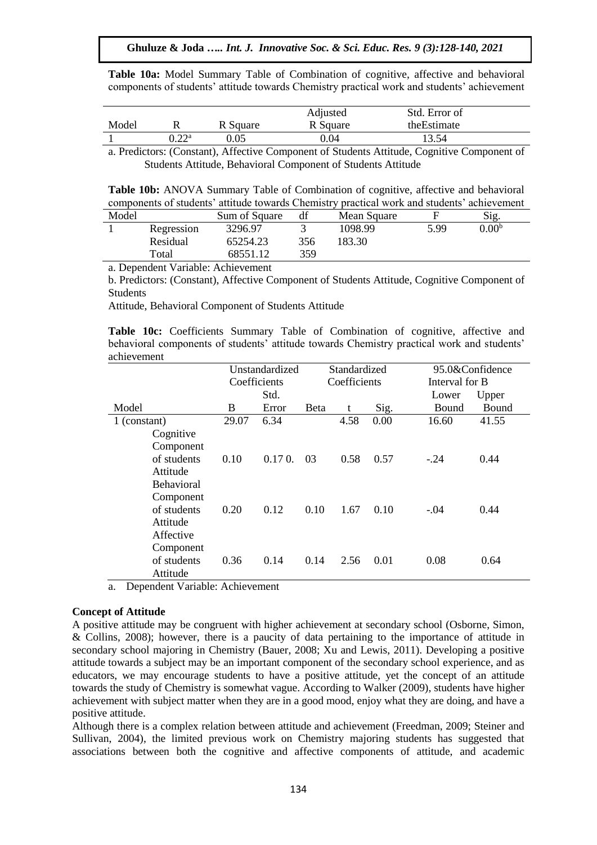**Table 10a:** Model Summary Table of Combination of cognitive, affective and behavioral components of students' attitude towards Chemistry practical work and students' achievement

|       |                         |          | Adjusted | Std. Error of |  |
|-------|-------------------------|----------|----------|---------------|--|
| Model |                         | R Square | R Square | theEstimate   |  |
|       | $\Omega$ $22a$<br>ے ۔ ا | 0.05     | $0.04\,$ | 13.54         |  |

a. Predictors: (Constant), Affective Component of Students Attitude, Cognitive Component of Students Attitude, Behavioral Component of Students Attitude

| Table 10b: ANOVA Summary Table of Combination of cognitive, affective and behavioral        |  |
|---------------------------------------------------------------------------------------------|--|
| components of students' attitude towards Chemistry practical work and students' achievement |  |

| Model |            | Sum of Square | df  | Mean Square |      | Sig.              |  |
|-------|------------|---------------|-----|-------------|------|-------------------|--|
|       | Regression | 3296.97       |     | 1098.99     | 5.99 | 0.00 <sup>b</sup> |  |
|       | Residual   | 65254.23      | 356 | 183.30      |      |                   |  |
|       | Total      | 68551.12      | 359 |             |      |                   |  |
|       |            |               |     |             |      |                   |  |

a. Dependent Variable: Achievement

b. Predictors: (Constant), Affective Component of Students Attitude, Cognitive Component of Students

Attitude, Behavioral Component of Students Attitude

**Table 10c:** Coefficients Summary Table of Combination of cognitive, affective and behavioral components of students' attitude towards Chemistry practical work and students' achievement

|                   | Unstandardized |              | Standardized |              |      | 95.0&Confidence |       |
|-------------------|----------------|--------------|--------------|--------------|------|-----------------|-------|
|                   |                | Coefficients |              | Coefficients |      | Interval for B  |       |
|                   |                | Std.         |              |              |      | Lower           | Upper |
| Model             | B              | Error        | <b>B</b> eta | t            | Sig. | Bound           | Bound |
| 1 (constant)      | 29.07          | 6.34         |              | 4.58         | 0.00 | 16.60           | 41.55 |
| Cognitive         |                |              |              |              |      |                 |       |
| Component         |                |              |              |              |      |                 |       |
| of students       | 0.10           | $0.170$ .    | 03           | 0.58         | 0.57 | $-.24$          | 0.44  |
| Attitude          |                |              |              |              |      |                 |       |
| <b>Behavioral</b> |                |              |              |              |      |                 |       |
| Component         |                |              |              |              |      |                 |       |
| of students       | 0.20           | 0.12         | 0.10         | 1.67         | 0.10 | $-.04$          | 0.44  |
| Attitude          |                |              |              |              |      |                 |       |
| Affective         |                |              |              |              |      |                 |       |
| Component         |                |              |              |              |      |                 |       |
| of students       | 0.36           | 0.14         | 0.14         | 2.56         | 0.01 | 0.08            | 0.64  |
| Attitude          |                |              |              |              |      |                 |       |

a. Dependent Variable: Achievement

### **Concept of Attitude**

A positive attitude may be congruent with higher achievement at secondary school (Osborne, Simon, & Collins, 2008); however, there is a paucity of data pertaining to the importance of attitude in secondary school majoring in Chemistry (Bauer, 2008; Xu and Lewis, 2011). Developing a positive attitude towards a subject may be an important component of the secondary school experience, and as educators, we may encourage students to have a positive attitude, yet the concept of an attitude towards the study of Chemistry is somewhat vague. According to Walker (2009), students have higher achievement with subject matter when they are in a good mood, enjoy what they are doing, and have a positive attitude.

Although there is a complex relation between attitude and achievement (Freedman, 2009; Steiner and Sullivan, 2004), the limited previous work on Chemistry majoring students has suggested that associations between both the cognitive and affective components of attitude, and academic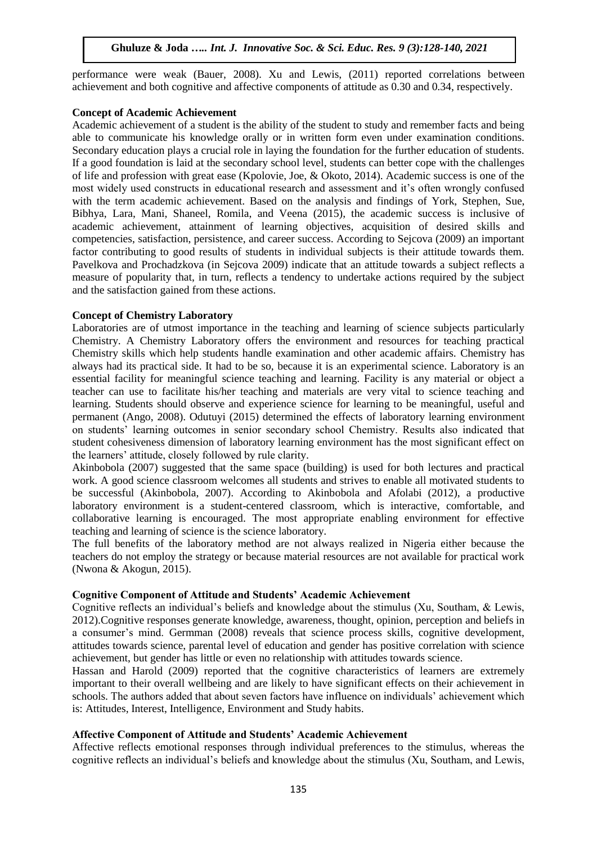performance were weak (Bauer, 2008). Xu and Lewis, (2011) reported correlations between achievement and both cognitive and affective components of attitude as 0.30 and 0.34, respectively.

#### **Concept of Academic Achievement**

Academic achievement of a student is the ability of the student to study and remember facts and being able to communicate his knowledge orally or in written form even under examination conditions. Secondary education plays a crucial role in laying the foundation for the further education of students. If a good foundation is laid at the secondary school level, students can better cope with the challenges of life and profession with great ease (Kpolovie, Joe, & Okoto, 2014). Academic success is one of the most widely used constructs in educational research and assessment and it's often wrongly confused with the term academic achievement. Based on the analysis and findings of York, Stephen, Sue, Bibhya, Lara, Mani, Shaneel, Romila, and Veena (2015), the academic success is inclusive of academic achievement, attainment of learning objectives, acquisition of desired skills and competencies, satisfaction, persistence, and career success. According to Sejcova (2009) an important factor contributing to good results of students in individual subjects is their attitude towards them. Pavelkova and Prochadzkova (in Sejcova 2009) indicate that an attitude towards a subject reflects a measure of popularity that, in turn, reflects a tendency to undertake actions required by the subject and the satisfaction gained from these actions.

### **Concept of Chemistry Laboratory**

Laboratories are of utmost importance in the teaching and learning of science subjects particularly Chemistry. A Chemistry Laboratory offers the environment and resources for teaching practical Chemistry skills which help students handle examination and other academic affairs. Chemistry has always had its practical side. It had to be so, because it is an experimental science. Laboratory is an essential facility for meaningful science teaching and learning. Facility is any material or object a teacher can use to facilitate his/her teaching and materials are very vital to science teaching and learning. Students should observe and experience science for learning to be meaningful, useful and permanent (Ango, 2008). Odutuyi (2015) determined the effects of laboratory learning environment on students' learning outcomes in senior secondary school Chemistry. Results also indicated that student cohesiveness dimension of laboratory learning environment has the most significant effect on the learners' attitude, closely followed by rule clarity.

Akinbobola (2007) suggested that the same space (building) is used for both lectures and practical work. A good science classroom welcomes all students and strives to enable all motivated students to be successful (Akinbobola, 2007). According to Akinbobola and Afolabi (2012), a productive laboratory environment is a student-centered classroom, which is interactive, comfortable, and collaborative learning is encouraged. The most appropriate enabling environment for effective teaching and learning of science is the science laboratory.

The full benefits of the laboratory method are not always realized in Nigeria either because the teachers do not employ the strategy or because material resources are not available for practical work (Nwona & Akogun, 2015).

#### **Cognitive Component of Attitude and Students' Academic Achievement**

Cognitive reflects an individual's beliefs and knowledge about the stimulus (Xu, Southam, & Lewis, 2012).Cognitive responses generate knowledge, awareness, thought, opinion, perception and beliefs in a consumer's mind. Germman (2008) reveals that science process skills, cognitive development, attitudes towards science, parental level of education and gender has positive correlation with science achievement, but gender has little or even no relationship with attitudes towards science.

Hassan and Harold (2009) reported that the cognitive characteristics of learners are extremely important to their overall wellbeing and are likely to have significant effects on their achievement in schools. The authors added that about seven factors have influence on individuals' achievement which is: Attitudes, Interest, Intelligence, Environment and Study habits.

# **Affective Component of Attitude and Students' Academic Achievement**

Affective reflects emotional responses through individual preferences to the stimulus, whereas the cognitive reflects an individual's beliefs and knowledge about the stimulus (Xu, Southam, and Lewis,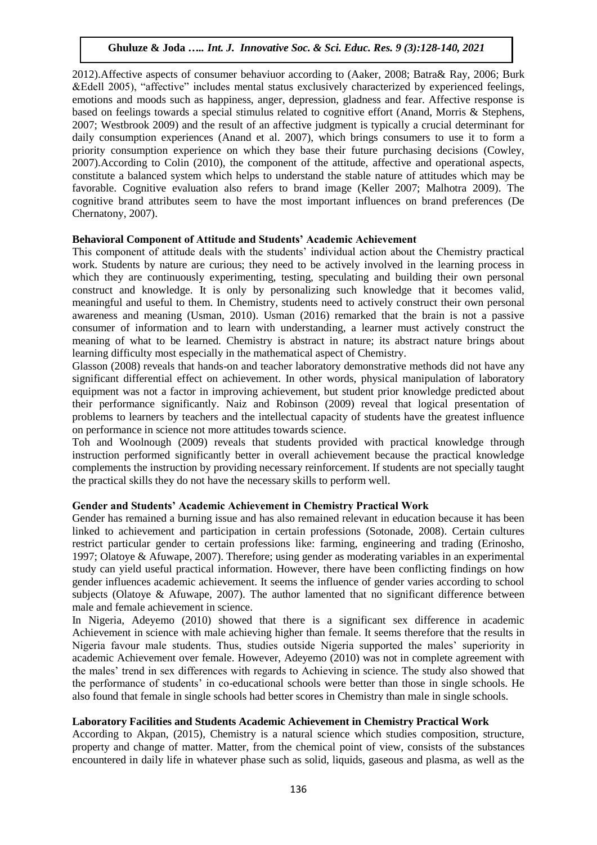2012).Affective aspects of consumer behaviuor according to (Aaker, 2008; Batra& Ray, 2006; Burk &Edell 2005), "affective" includes mental status exclusively characterized by experienced feelings, emotions and moods such as happiness, anger, depression, gladness and fear. Affective response is based on feelings towards a special stimulus related to cognitive effort (Anand, Morris & Stephens, 2007; Westbrook 2009) and the result of an affective judgment is typically a crucial determinant for daily consumption experiences (Anand et al. 2007), which brings consumers to use it to form a priority consumption experience on which they base their future purchasing decisions (Cowley, 2007).According to Colin (2010), the component of the attitude, affective and operational aspects, constitute a balanced system which helps to understand the stable nature of attitudes which may be favorable. Cognitive evaluation also refers to brand image (Keller 2007; Malhotra 2009). The cognitive brand attributes seem to have the most important influences on brand preferences (De Chernatony, 2007).

# **Behavioral Component of Attitude and Students' Academic Achievement**

This component of attitude deals with the students' individual action about the Chemistry practical work. Students by nature are curious; they need to be actively involved in the learning process in which they are continuously experimenting, testing, speculating and building their own personal construct and knowledge. It is only by personalizing such knowledge that it becomes valid, meaningful and useful to them. In Chemistry, students need to actively construct their own personal awareness and meaning (Usman, 2010). Usman (2016) remarked that the brain is not a passive consumer of information and to learn with understanding, a learner must actively construct the meaning of what to be learned. Chemistry is abstract in nature; its abstract nature brings about learning difficulty most especially in the mathematical aspect of Chemistry.

Glasson (2008) reveals that hands-on and teacher laboratory demonstrative methods did not have any significant differential effect on achievement. In other words, physical manipulation of laboratory equipment was not a factor in improving achievement, but student prior knowledge predicted about their performance significantly. Naiz and Robinson (2009) reveal that logical presentation of problems to learners by teachers and the intellectual capacity of students have the greatest influence on performance in science not more attitudes towards science.

Toh and Woolnough (2009) reveals that students provided with practical knowledge through instruction performed significantly better in overall achievement because the practical knowledge complements the instruction by providing necessary reinforcement. If students are not specially taught the practical skills they do not have the necessary skills to perform well.

# **Gender and Students' Academic Achievement in Chemistry Practical Work**

Gender has remained a burning issue and has also remained relevant in education because it has been linked to achievement and participation in certain professions (Sotonade, 2008). Certain cultures restrict particular gender to certain professions like: farming, engineering and trading (Erinosho, 1997; Olatoye & Afuwape, 2007). Therefore; using gender as moderating variables in an experimental study can yield useful practical information. However, there have been conflicting findings on how gender influences academic achievement. It seems the influence of gender varies according to school subjects (Olatoye & Afuwape, 2007). The author lamented that no significant difference between male and female achievement in science.

In Nigeria, Adeyemo (2010) showed that there is a significant sex difference in academic Achievement in science with male achieving higher than female. It seems therefore that the results in Nigeria favour male students. Thus, studies outside Nigeria supported the males' superiority in academic Achievement over female. However, Adeyemo (2010) was not in complete agreement with the males' trend in sex differences with regards to Achieving in science. The study also showed that the performance of students' in co-educational schools were better than those in single schools. He also found that female in single schools had better scores in Chemistry than male in single schools.

# **Laboratory Facilities and Students Academic Achievement in Chemistry Practical Work**

According to Akpan, (2015), Chemistry is a natural science which studies composition, structure, property and change of matter. Matter, from the chemical point of view, consists of the substances encountered in daily life in whatever phase such as solid, liquids, gaseous and plasma, as well as the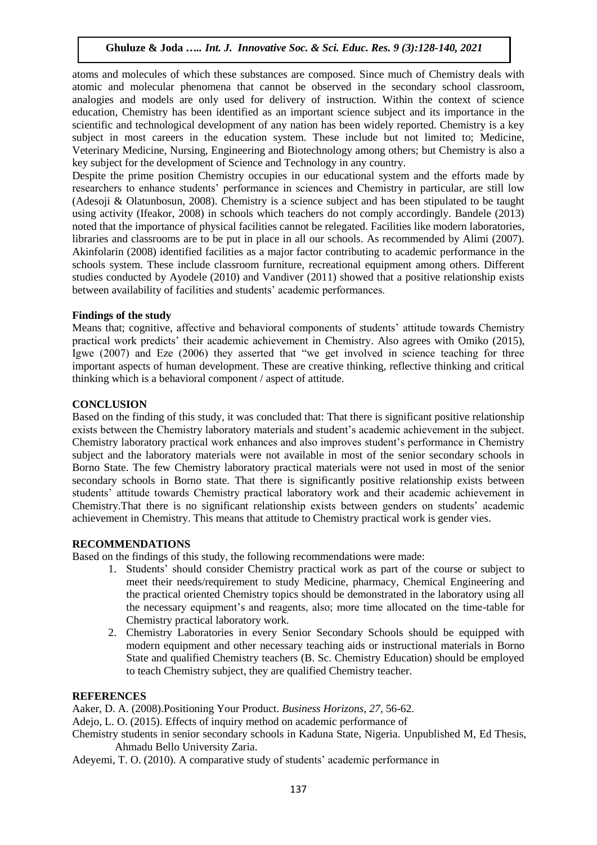atoms and molecules of which these substances are composed. Since much of Chemistry deals with atomic and molecular phenomena that cannot be observed in the secondary school classroom, analogies and models are only used for delivery of instruction. Within the context of science education, Chemistry has been identified as an important science subject and its importance in the scientific and technological development of any nation has been widely reported. Chemistry is a key subject in most careers in the education system. These include but not limited to; Medicine, Veterinary Medicine, Nursing, Engineering and Biotechnology among others; but Chemistry is also a key subject for the development of Science and Technology in any country.

Despite the prime position Chemistry occupies in our educational system and the efforts made by researchers to enhance students' performance in sciences and Chemistry in particular, are still low (Adesoji & Olatunbosun, 2008). Chemistry is a science subject and has been stipulated to be taught using activity (Ifeakor, 2008) in schools which teachers do not comply accordingly. Bandele (2013) noted that the importance of physical facilities cannot be relegated. Facilities like modern laboratories, libraries and classrooms are to be put in place in all our schools. As recommended by Alimi (2007). Akinfolarin (2008) identified facilities as a major factor contributing to academic performance in the schools system. These include classroom furniture, recreational equipment among others. Different studies conducted by Ayodele (2010) and Vandiver (2011) showed that a positive relationship exists between availability of facilities and students' academic performances.

### **Findings of the study**

Means that; cognitive, affective and behavioral components of students' attitude towards Chemistry practical work predicts' their academic achievement in Chemistry. Also agrees with Omiko (2015), Igwe (2007) and Eze (2006) they asserted that "we get involved in science teaching for three important aspects of human development. These are creative thinking, reflective thinking and critical thinking which is a behavioral component / aspect of attitude.

# **CONCLUSION**

Based on the finding of this study, it was concluded that: That there is significant positive relationship exists between the Chemistry laboratory materials and student's academic achievement in the subject. Chemistry laboratory practical work enhances and also improves student's performance in Chemistry subject and the laboratory materials were not available in most of the senior secondary schools in Borno State. The few Chemistry laboratory practical materials were not used in most of the senior secondary schools in Borno state. That there is significantly positive relationship exists between students' attitude towards Chemistry practical laboratory work and their academic achievement in Chemistry.That there is no significant relationship exists between genders on students' academic achievement in Chemistry. This means that attitude to Chemistry practical work is gender vies.

### **RECOMMENDATIONS**

Based on the findings of this study, the following recommendations were made:

- 1. Students' should consider Chemistry practical work as part of the course or subject to meet their needs/requirement to study Medicine, pharmacy, Chemical Engineering and the practical oriented Chemistry topics should be demonstrated in the laboratory using all the necessary equipment's and reagents, also; more time allocated on the time-table for Chemistry practical laboratory work.
- 2. Chemistry Laboratories in every Senior Secondary Schools should be equipped with modern equipment and other necessary teaching aids or instructional materials in Borno State and qualified Chemistry teachers (B. Sc. Chemistry Education) should be employed to teach Chemistry subject, they are qualified Chemistry teacher.

### **REFERENCES**

Aaker, D. A. (2008).Positioning Your Product. *Business Horizons, 27*, 56-62.

Adejo, L. O. (2015). Effects of inquiry method on academic performance of

- Chemistry students in senior secondary schools in Kaduna State, Nigeria. Unpublished M, Ed Thesis, Ahmadu Bello University Zaria.
- Adeyemi, T. O. (2010). A comparative study of students' academic performance in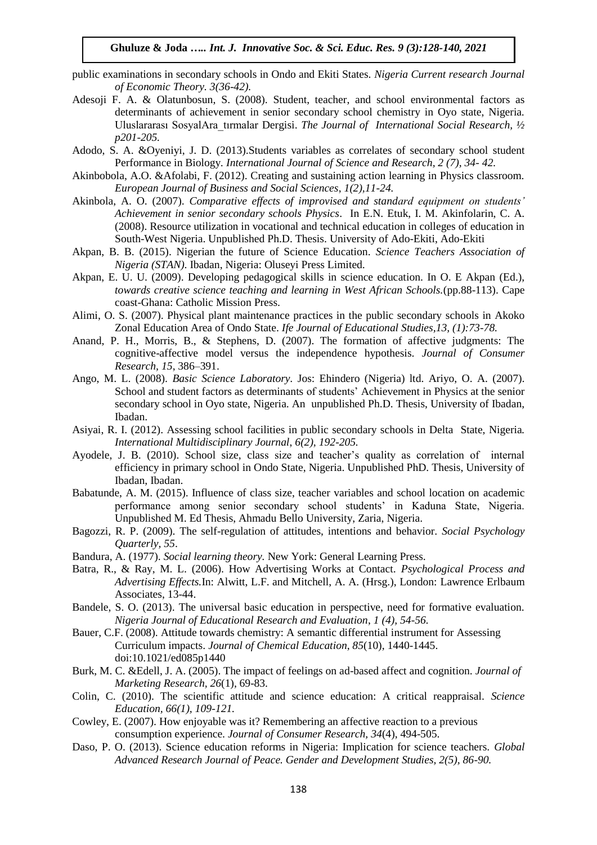- public examinations in secondary schools in Ondo and Ekiti States. *Nigeria Current research Journal of Economic Theory. 3(36-42).*
- Adesoji F. A. & Olatunbosun, S. (2008). Student, teacher, and school environmental factors as determinants of achievement in senior secondary school chemistry in Oyo state, Nigeria. Uluslararası SosyalAra\_tırmalar Dergisi. *The Journal of International Social Research, ½ p201-205.*
- Adodo, S. A. &Oyeniyi, J. D. (2013).Students variables as correlates of secondary school student Performance in Biology*. International Journal of Science and Research, 2 (7), 34- 42.*
- Akinbobola, A.O. &Afolabi, F. (2012). Creating and sustaining action learning in Physics classroom. *European Journal of Business and Social Sciences*, *1(2),11-24.*
- Akinbola, A. O. (2007). *Comparative effects of improvised and standard equipment on students' Achievement in senior secondary schools Physics*. In E.N. Etuk, I. M. Akinfolarin, C. A. (2008). Resource utilization in vocational and technical education in colleges of education in South-West Nigeria. Unpublished Ph.D. Thesis. University of Ado-Ekiti, Ado-Ekiti
- Akpan, B. B. (2015). Nigerian the future of Science Education. *Science Teachers Association of Nigeria (STAN)*. Ibadan, Nigeria: Oluseyi Press Limited.
- Akpan, E. U. U. (2009). Developing pedagogical skills in science education. In O. E Akpan (Ed.), *towards creative science teaching and learning in West African Schools.*(pp.88-113). Cape coast-Ghana: Catholic Mission Press.
- Alimi, O. S. (2007). Physical plant maintenance practices in the public secondary schools in Akoko Zonal Education Area of Ondo State. *Ife Journal of Educational Studies,13, (1):73-78.*
- Anand, P. H., Morris, B., & Stephens, D. (2007). The formation of affective judgments: The cognitive-affective model versus the independence hypothesis. *Journal of Consumer Research, 15*, 386–391.
- Ango, M. L. (2008). *Basic Science Laboratory.* Jos: Ehindero (Nigeria) ltd. Ariyo, O. A. (2007). School and student factors as determinants of students' Achievement in Physics at the senior secondary school in Oyo state, Nigeria. An unpublished Ph.D. Thesis, University of Ibadan, Ibadan.
- Asiyai, R. I. (2012). Assessing school facilities in public secondary schools in Delta State, Nigeria*. International Multidisciplinary Journal*, *6(2), 192-205.*
- Ayodele, J. B. (2010). School size, class size and teacher's quality as correlation of internal efficiency in primary school in Ondo State, Nigeria. Unpublished PhD. Thesis, University of Ibadan, Ibadan.
- Babatunde, A. M. (2015). Influence of class size, teacher variables and school location on academic performance among senior secondary school students' in Kaduna State, Nigeria. Unpublished M. Ed Thesis, Ahmadu Bello University, Zaria, Nigeria.
- Bagozzi, R. P. (2009). The self-regulation of attitudes, intentions and behavior. *Social Psychology Quarterly, 55*.
- Bandura, A. (1977). *Social learning theory.* New York: General Learning Press.
- Batra, R., & Ray, M. L. (2006). How Advertising Works at Contact. *Psychological Process and Advertising Effects.*In: Alwitt, L.F. and Mitchell, A. A. (Hrsg.), London: Lawrence Erlbaum Associates, 13-44.
- Bandele, S. O. (2013). The universal basic education in perspective, need for formative evaluation. *Nigeria Journal of Educational Research and Evaluation*, *1 (4), 54-56.*
- Bauer, C.F. (2008). Attitude towards chemistry: A semantic differential instrument for Assessing Curriculum impacts. *Journal of Chemical Education*, *85*(10), 1440-1445. doi:10.1021/ed085p1440
- Burk, M. C. &Edell, J. A. (2005). The impact of feelings on ad-based affect and cognition. *Journal of Marketing Research, 26*(1), 69-83.
- Colin, C. (2010). The scientific attitude and science education: A critical reappraisal. *Science Education, 66(1), 109-121.*
- Cowley, E. (2007). How enjoyable was it? Remembering an affective reaction to a previous consumption experience. *Journal of Consumer Research, 34*(4), 494-505.
- Daso, P. O. (2013). Science education reforms in Nigeria: Implication for science teachers. *Global Advanced Research Journal of Peace. Gender and Development Studies, 2(5), 86-90.*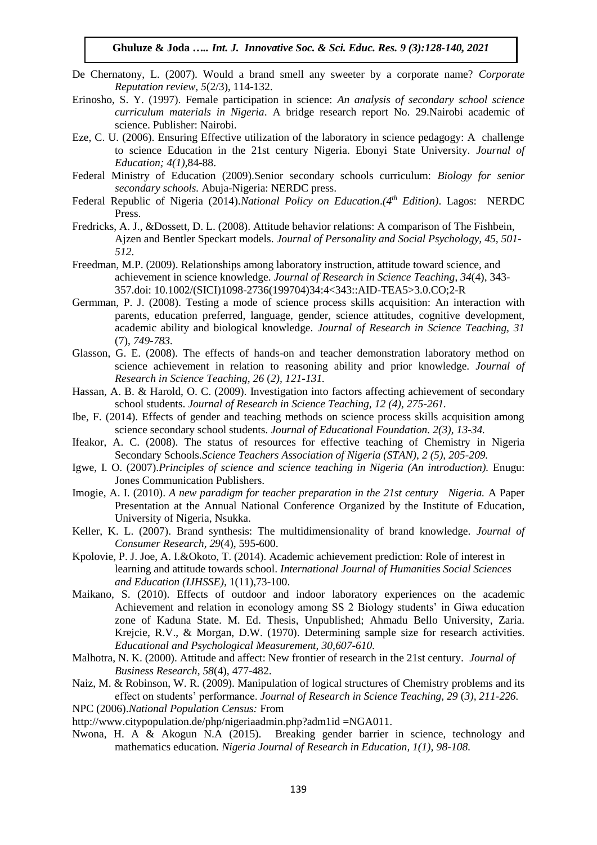- De Chernatony, L. (2007). Would a brand smell any sweeter by a corporate name? *Corporate Reputation review, 5*(2/3), 114-132.
- Erinosho, S. Y. (1997). Female participation in science: *An analysis of secondary school science curriculum materials in Nigeria*. A bridge research report No. 29.Nairobi academic of science. Publisher: Nairobi.
- Eze, C. U. (2006). Ensuring Effective utilization of the laboratory in science pedagogy: A challenge to science Education in the 21st century Nigeria. Ebonyi State University. *Journal of Education; 4(1),*84-88.
- Federal Ministry of Education (2009)*.*Senior secondary schools curriculum: *Biology for senior secondary schools.* Abuja-Nigeria: NERDC press.
- Federal Republic of Nigeria (2014).*National Policy on Education*.*(4th Edition)*. Lagos: NERDC Press.
- Fredricks, A. J., &Dossett, D. L. (2008). Attitude behavior relations: A comparison of The Fishbein, Ajzen and Bentler Speckart models. *Journal of Personality and Social Psychology, 45, 501- 512*.
- Freedman, M.P. (2009). Relationships among laboratory instruction, attitude toward science, and achievement in science knowledge. *Journal of Research in Science Teaching*, *34*(4), 343- 357.doi: 10.1002/(SICI)1098-2736(199704)34:4<343::AID-TEA5>3.0.CO;2-R
- Germman, P. J. (2008). Testing a mode of science process skills acquisition: An interaction with parents, education preferred, language, gender, science attitudes, cognitive development, academic ability and biological knowledge. *Journal of Research in Science Teaching, 31* (7), *749-783.*
- Glasson, G. E. (2008). The effects of hands-on and teacher demonstration laboratory method on science achievement in relation to reasoning ability and prior knowledge. *Journal of Research in Science Teaching, 26* (*2), 121-131.*
- Hassan, A. B. & Harold, O. C. (2009). Investigation into factors affecting achievement of secondary school students. *Journal of Research in Science Teaching, 12 (4), 275-261.*
- Ibe, F. (2014). Effects of gender and teaching methods on science process skills acquisition among science secondary school students. *Journal of Educational Foundation. 2(3), 13-34.*
- Ifeakor, A. C. (2008). The status of resources for effective teaching of Chemistry in Nigeria Secondary Schools.*Science Teachers Association of Nigeria (STAN)*, *2 (5), 205-209.*
- Igwe, I. O. (2007).*Principles of science and science teaching in Nigeria (An introduction).* Enugu: Jones Communication Publishers.
- Imogie, A. I. (2010). *A new paradigm for teacher preparation in the 21st century Nigeria.* A Paper Presentation at the Annual National Conference Organized by the Institute of Education, University of Nigeria, Nsukka.
- Keller, K. L. (2007). Brand synthesis: The multidimensionality of brand knowledge. *Journal of Consumer Research, 29*(4), 595-600.
- Kpolovie, P. J. Joe, A. I.&Okoto, T. (2014). Academic achievement prediction: Role of interest in learning and attitude towards school. *International Journal of Humanities Social Sciences and Education (IJHSSE)*, 1(11),73-100.
- Maikano, S. (2010). Effects of outdoor and indoor laboratory experiences on the academic Achievement and relation in econology among SS 2 Biology students' in Giwa education zone of Kaduna State. M. Ed. Thesis, Unpublished; Ahmadu Bello University, Zaria. Krejcie, R.V., & Morgan, D.W. (1970). Determining sample size for research activities. *Educational and Psychological Measurement, 30,607-610.*
- Malhotra, N. K. (2000). Attitude and affect: New frontier of research in the 21st century. *Journal of Business Research, 58*(4), 477-482.
- Naiz, M. & Robinson, W. R. (2009). Manipulation of logical structures of Chemistry problems and its effect on students' performance. *Journal of Research in Science Teaching, 29* (*3), 211-226.*
- NPC (2006).*National Population Census:* From
- [http://www.citypopulation.de/php/nigeriaa](http://www.citypopulation.de/php/nigeria)dmin.php?adm1id =NGA011.
- Nwona, H. A & Akogun N.A (2015). Breaking gender barrier in science, technology and mathematics education*. Nigeria Journal of Research in Education, 1(1), 98-108.*